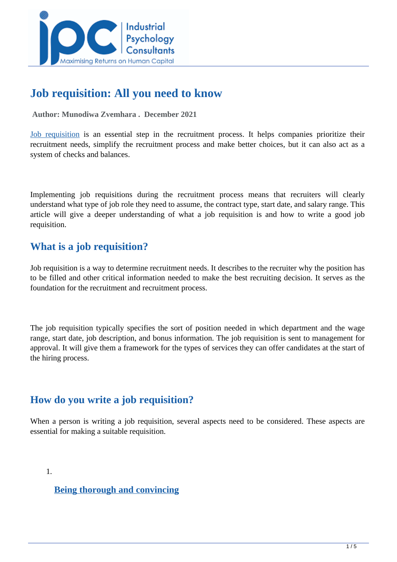

# **Job requisition: All you need to know**

 **Author: Munodiwa Zvemhara . December 2021** 

[Job requisition](https://www.aihr.com/blog/job-requisition/) is an essential step in the recruitment process. It helps companies prioritize their recruitment needs, simplify the recruitment process and make better choices, but it can also act as a system of checks and balances.

Implementing job requisitions during the recruitment process means that recruiters will clearly understand what type of job role they need to assume, the contract type, start date, and salary range. This article will give a deeper understanding of what a job requisition is and how to write a good job requisition.

## **What is a job requisition?**

Job requisition is a way to determine recruitment needs. It describes to the recruiter why the position has to be filled and other critical information needed to make the best recruiting decision. It serves as the foundation for the recruitment and recruitment process.

The job requisition typically specifies the sort of position needed in which department and the wage range, start date, job description, and bonus information. The job requisition is sent to management for approval. It will give them a framework for the types of services they can offer candidates at the start of the hiring process.

### **How do you write a job requisition?**

When a person is writing a job requisition, several aspects need to be considered. These aspects are essential for making a suitable requisition.

1.

**[Being thorough and convincing](https://harver.com/blog/job-requisition/#What)**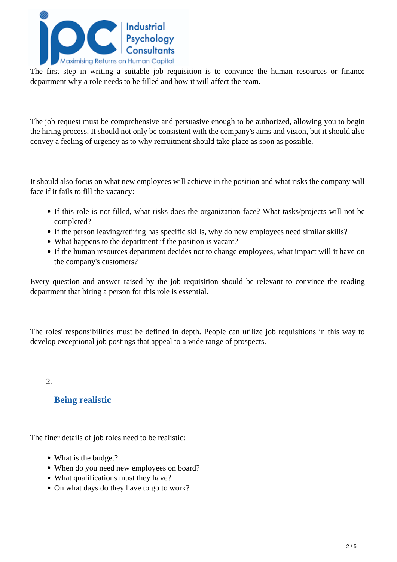

The first step in writing a suitable job requisition is to convince the human resources or finance department why a role needs to be filled and how it will affect the team.

The job request must be comprehensive and persuasive enough to be authorized, allowing you to begin the hiring process. It should not only be consistent with the company's aims and vision, but it should also convey a feeling of urgency as to why recruitment should take place as soon as possible.

It should also focus on what new employees will achieve in the position and what risks the company will face if it fails to fill the vacancy:

- If this role is not filled, what risks does the organization face? What tasks/projects will not be completed?
- If the person leaving/retiring has specific skills, why do new employees need similar skills?
- What happens to the department if the position is vacant?
- If the human resources department decides not to change employees, what impact will it have on the company's customers?

Every question and answer raised by the job requisition should be relevant to convince the reading department that hiring a person for this role is essential.

The roles' responsibilities must be defined in depth. People can utilize job requisitions in this way to develop exceptional job postings that appeal to a wide range of prospects.

2.

#### **[Being realistic](https://harver.com/blog/job-requisition/#What)**

The finer details of job roles need to be realistic:

- What is the budget?
- When do you need new employees on board?
- What qualifications must they have?
- On what days do they have to go to work?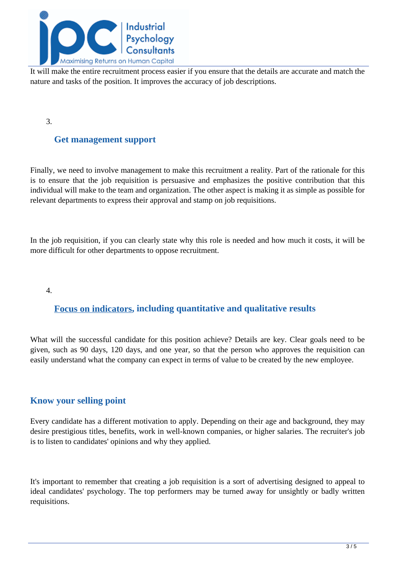

It will make the entire recruitment process easier if you ensure that the details are accurate and match the nature and tasks of the position. It improves the accuracy of job descriptions.

3.

### **Get management support**

Finally, we need to involve management to make this recruitment a reality. Part of the rationale for this is to ensure that the job requisition is persuasive and emphasizes the positive contribution that this individual will make to the team and organization. The other aspect is making it as simple as possible for relevant departments to express their approval and stamp on job requisitions.

In the job requisition, if you can clearly state why this role is needed and how much it costs, it will be more difficult for other departments to oppose recruitment.

4.

### **[Focus on indicators](https://www.smartrecruiters.com/resources/glossary/job-requisition/#what-does-a-job-requisition-include), including quantitative and qualitative results**

What will the successful candidate for this position achieve? Details are key. Clear goals need to be given, such as 90 days, 120 days, and one year, so that the person who approves the requisition can easily understand what the company can expect in terms of value to be created by the new employee.

#### **Know your selling point**

Every candidate has a different motivation to apply. Depending on their age and background, they may desire prestigious titles, benefits, work in well-known companies, or higher salaries. The recruiter's job is to listen to candidates' opinions and why they applied.

It's important to remember that creating a job requisition is a sort of advertising designed to appeal to ideal candidates' psychology. The top performers may be turned away for unsightly or badly written requisitions.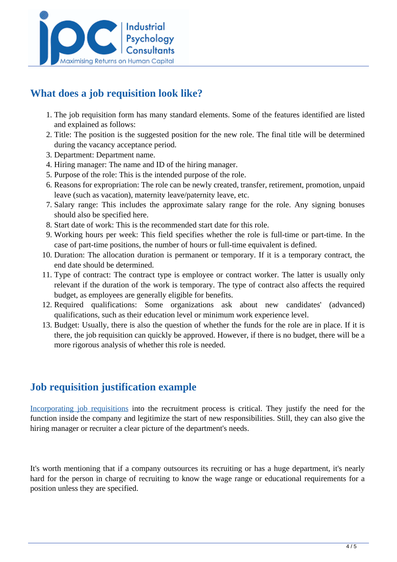

# **What does a job requisition look like?**

- 1. The job requisition form has many standard elements. Some of the features identified are listed and explained as follows:
- 2. Title: The position is the suggested position for the new role. The final title will be determined during the vacancy acceptance period.
- 3. Department: Department name.
- 4. Hiring manager: The name and ID of the hiring manager.
- 5. Purpose of the role: This is the intended purpose of the role.
- 6. Reasons for expropriation: The role can be newly created, transfer, retirement, promotion, unpaid leave (such as vacation), maternity leave/paternity leave, etc.
- 7. Salary range: This includes the approximate salary range for the role. Any signing bonuses should also be specified here.
- 8. Start date of work: This is the recommended start date for this role.
- 9. Working hours per week: This field specifies whether the role is full-time or part-time. In the case of part-time positions, the number of hours or full-time equivalent is defined.
- 10. Duration: The allocation duration is permanent or temporary. If it is a temporary contract, the end date should be determined.
- 11. Type of contract: The contract type is employee or contract worker. The latter is usually only relevant if the duration of the work is temporary. The type of contract also affects the required budget, as employees are generally eligible for benefits.
- 12. Required qualifications: Some organizations ask about new candidates' (advanced) qualifications, such as their education level or minimum work experience level.
- 13. Budget: Usually, there is also the question of whether the funds for the role are in place. If it is there, the job requisition can quickly be approved. However, if there is no budget, there will be a more rigorous analysis of whether this role is needed.

### **Job requisition justification example**

[Incorporating job requisitions](https://www.freshworks.com/hrms/job-requisition/) into the recruitment process is critical. They justify the need for the function inside the company and legitimize the start of new responsibilities. Still, they can also give the hiring manager or recruiter a clear picture of the department's needs.

It's worth mentioning that if a company outsources its recruiting or has a huge department, it's nearly hard for the person in charge of recruiting to know the wage range or educational requirements for a position unless they are specified.